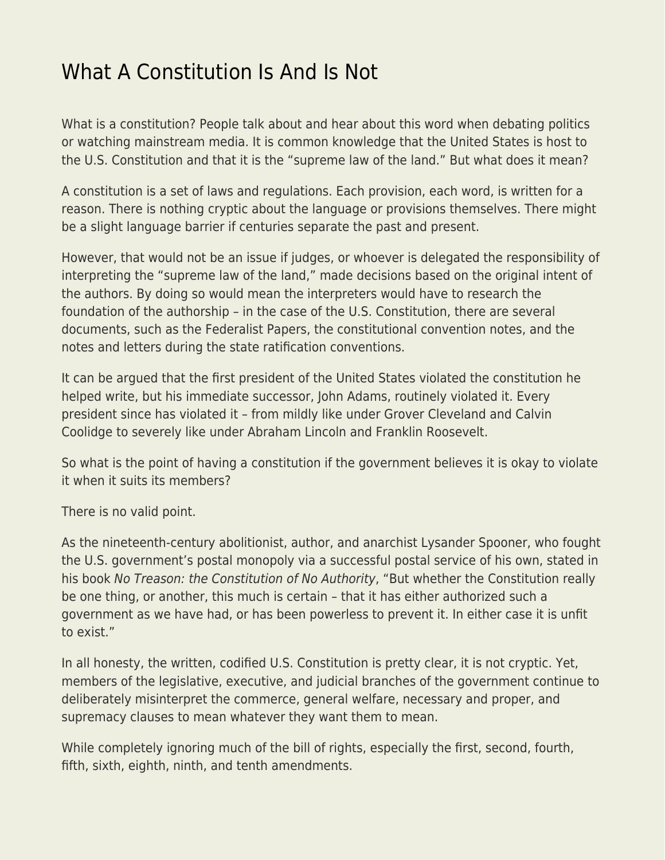## [What A Constitution Is And Is Not](https://everything-voluntary.com/what-a-constitution-is-and-is-not)

What is a constitution? People talk about and hear about this word when debating politics or watching mainstream media. It is common knowledge that the United States is host to the U.S. Constitution and that it is the "supreme law of the land." But what does it mean?

A constitution is a set of laws and regulations. Each provision, each word, is written for a reason. There is nothing cryptic about the language or provisions themselves. There might be a slight language barrier if centuries separate the past and present.

However, that would not be an issue if judges, or whoever is delegated the responsibility of interpreting the "supreme law of the land," made decisions based on the original intent of the authors. By doing so would mean the interpreters would have to research the foundation of the authorship – in the case of the U.S. Constitution, there are several documents, such as the Federalist Papers, the constitutional convention notes, and the notes and letters during the state ratification conventions.

It can be argued that the first president of the United States violated the constitution he helped write, but his immediate successor, John Adams, routinely violated it. Every president since has violated it – from mildly like under Grover Cleveland and Calvin Coolidge to severely like under Abraham Lincoln and Franklin Roosevelt.

So what is the point of having a constitution if the government believes it is okay to violate it when it suits its members?

There is no valid point.

As the nineteenth-century abolitionist, author, and anarchist Lysander Spooner, who fought the U.S. government's postal monopoly via a successful postal service of his own, stated in his book No Treason: the Constitution of No Authority, "But whether the Constitution really be one thing, or another, this much is certain – that it has either authorized such a government as we have had, or has been powerless to prevent it. In either case it is unfit to exist."

In all honesty, the written, codified U.S. Constitution is pretty clear, it is not cryptic. Yet, members of the legislative, executive, and judicial branches of the government continue to deliberately misinterpret the commerce, general welfare, necessary and proper, and supremacy clauses to mean whatever they want them to mean.

While completely ignoring much of the bill of rights, especially the first, second, fourth, fifth, sixth, eighth, ninth, and tenth amendments.